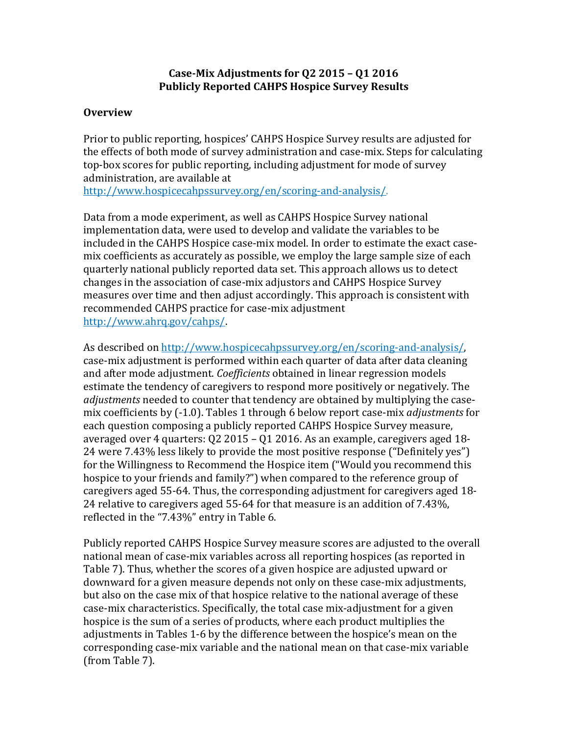### **Case-Mix Adjustments for Q2 2015 – Q1 2016 Publicly Reported CAHPS Hospice Survey Results**

### **Overview**

Prior to public reporting, hospices' CAHPS Hospice Survey results are adjusted for the effects of both mode of survey administration and case-mix. Steps for calculating top-box scores for public reporting, including adjustment for mode of survey administration, are available at

[http://www.hospicecahpssurvey.org/en/scoring-and-analysis/.](https://hospicecahpssurvey.org/en/public-reporting/scoring-and-analysis/)

Data from a mode experiment, as well as CAHPS Hospice Survey national implementation data, were used to develop and validate the variables to be included in the CAHPS Hospice case-mix model. In order to estimate the exact casemix coefficients as accurately as possible, we employ the large sample size of each quarterly national publicly reported data set. This approach allows us to detect changes in the association of case-mix adjustors and CAHPS Hospice Survey measures over time and then adjust accordingly. This approach is consistent with recommended CAHPS practice for case-mix adjustment [http://www.ahrq.gov/cahps/.](https://www.ahrq.gov/cahps/)

As described on [http://www.hospicecahpssurvey.org/en/scoring-and-analysis/,](http://www.hospicecahpssurvey.org/en/public-reporting/scoring-and-analysis/) case-mix adjustment is performed within each quarter of data after data cleaning and after mode adjustment. *Coefficients* obtained in linear regression models estimate the tendency of caregivers to respond more positively or negatively. The *adjustments* needed to counter that tendency are obtained by multiplying the casemix coefficients by (-1.0). Tables 1 through 6 below report case-mix *adjustments* for each question composing a publicly reported CAHPS Hospice Survey measure, averaged over 4 quarters: Q2 2015 – Q1 2016. As an example, caregivers aged 18- 24 were 7.43% less likely to provide the most positive response ("Definitely yes") for the Willingness to Recommend the Hospice item ("Would you recommend this hospice to your friends and family?") when compared to the reference group of caregivers aged 55-64. Thus, the corresponding adjustment for caregivers aged 18- 24 relative to caregivers aged 55-64 for that measure is an addition of 7.43%, reflected in the "7.43%" entry in Table 6.

Publicly reported CAHPS Hospice Survey measure scores are adjusted to the overall national mean of case-mix variables across all reporting hospices (as reported in Table 7). Thus, whether the scores of a given hospice are adjusted upward or downward for a given measure depends not only on these case-mix adjustments, but also on the case mix of that hospice relative to the national average of these case-mix characteristics. Specifically, the total case mix-adjustment for a given hospice is the sum of a series of products, where each product multiplies the adjustments in Tables 1-6 by the difference between the hospice's mean on the corresponding case-mix variable and the national mean on that case-mix variable (from Table 7).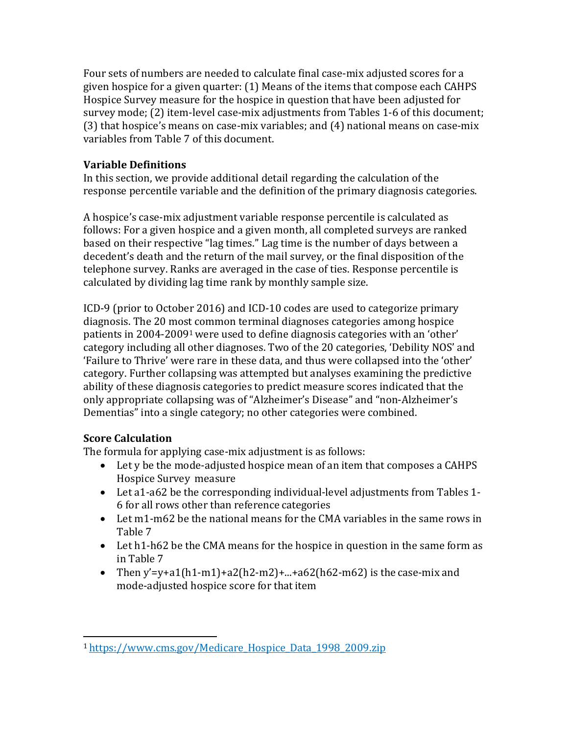Four sets of numbers are needed to calculate final case-mix adjusted scores for a given hospice for a given quarter: (1) Means of the items that compose each CAHPS Hospice Survey measure for the hospice in question that have been adjusted for survey mode; (2) item-level case-mix adjustments from Tables 1-6 of this document; (3) that hospice's means on case-mix variables; and (4) national means on case-mix variables from Table 7 of this document.

## **Variable Definitions**

In this section, we provide additional detail regarding the calculation of the response percentile variable and the definition of the primary diagnosis categories.

A hospice's case-mix adjustment variable response percentile is calculated as follows: For a given hospice and a given month, all completed surveys are ranked based on their respective "lag times." Lag time is the number of days between a decedent's death and the return of the mail survey, or the final disposition of the telephone survey. Ranks are averaged in the case of ties. Response percentile is calculated by dividing lag time rank by monthly sample size.

ICD-9 (prior to October 2016) and ICD-10 codes are used to categorize primary diagnosis. The 20 most common terminal diagnoses categories among hospice patients in 2004-20091 were used to define diagnosis categories with an 'other' category including all other diagnoses. Two of the 20 categories, 'Debility NOS' and 'Failure to Thrive' were rare in these data, and thus were collapsed into the 'other' category. Further collapsing was attempted but analyses examining the predictive ability of these diagnosis categories to predict measure scores indicated that the only appropriate collapsing was of "Alzheimer's Disease" and "non-Alzheimer's Dementias" into a single category; no other categories were combined.

# **Score Calculation**

The formula for applying case-mix adjustment is as follows:

- Let y be the mode-adjusted hospice mean of an item that composes a CAHPS Hospice Survey measure
- Let a1-a62 be the corresponding individual-level adjustments from Tables 1- 6 for all rows other than reference categories
- Let m1-m62 be the national means for the CMA variables in the same rows in Table 7
- Let h1-h62 be the CMA means for the hospice in question in the same form as in Table 7
- Then y'=y+a1(h1-m1)+a2(h2-m2)+...+a62(h62-m62) is the case-mix and mode-adjusted hospice score for that item

<sup>1</sup> [https://www.cms.gov/Medicare\\_Hospice\\_Data\\_1998\\_2009.zip](https://www.cms.gov/Medicare/Medicare-Fee-for-Service-Payment/Hospice/Downloads/Medicare_Hospice_Data_1998_2009.zip)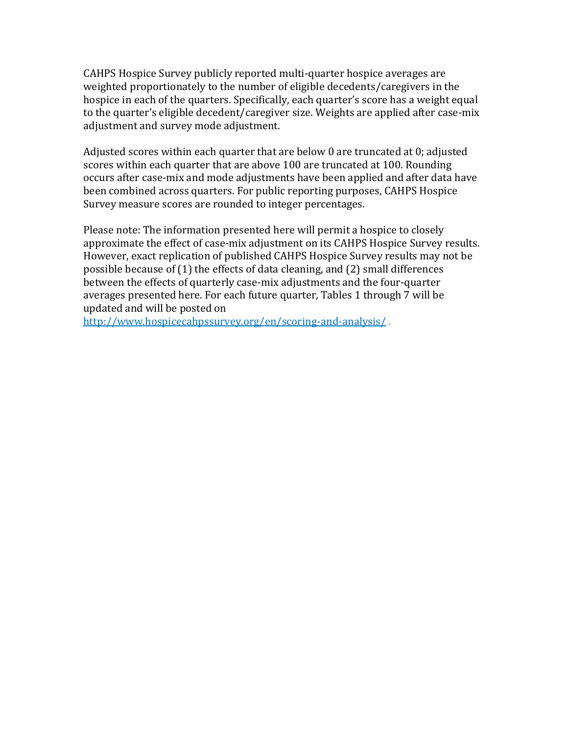CAHPS Hospice Survey publicly reported multi-quarter hospice averages are weighted proportionately to the number of eligible decedents/caregivers in the hospice in each of the quarters. Specifically, each quarter's score has a weight equal to the quarter's eligible decedent/caregiver size. Weights are applied after case-mix adjustment and survey mode adjustment.

Adjusted scores within each quarter that are below 0 are truncated at 0; adjusted scores within each quarter that are above 100 are truncated at 100. Rounding occurs after case-mix and mode adjustments have been applied and after data have been combined across quarters. For public reporting purposes, CAHPS Hospice Survey measure scores are rounded to integer percentages.

Please note: The information presented here will permit a hospice to closely approximate the effect of case-mix adjustment on its CAHPS Hospice Survey results. However, exact replication of published CAHPS Hospice Survey results may not be possible because of (1) the effects of data cleaning, and (2) small differences between the effects of quarterly case-mix adjustments and the four-quarter averages presented here. For each future quarter, Tables 1 through 7 will be updated and will be posted on

[http://www.hospicecahpssurvey.org/en/scoring-and-analysis/](https://hospicecahpssurvey.org/en/public-reporting/scoring-and-analysis/) .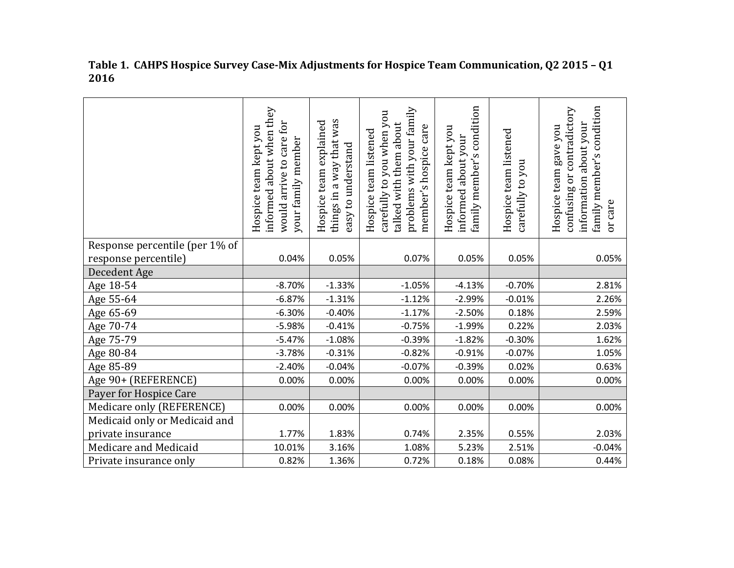|                                | informed about when they<br>care for<br>Hospice team kept you<br>your family member<br>would arrive to | way that was<br>explained<br>easy to understand<br>team<br>things in a<br>Hospice | problems with your family<br>carefully to you when you<br>talked with them about<br>member's hospice care<br>Hospice team listened | family member's condition<br>Hospice team kept you<br>informed about your | Hospice team listened<br>you<br>carefully to | family member's condition<br>confusing or contradictory<br>information about your<br>Hospice team gave you<br>or care |
|--------------------------------|--------------------------------------------------------------------------------------------------------|-----------------------------------------------------------------------------------|------------------------------------------------------------------------------------------------------------------------------------|---------------------------------------------------------------------------|----------------------------------------------|-----------------------------------------------------------------------------------------------------------------------|
| Response percentile (per 1% of |                                                                                                        |                                                                                   |                                                                                                                                    |                                                                           |                                              |                                                                                                                       |
| response percentile)           | 0.04%                                                                                                  | 0.05%                                                                             | 0.07%                                                                                                                              | 0.05%                                                                     | 0.05%                                        | 0.05%                                                                                                                 |
| Decedent Age                   |                                                                                                        |                                                                                   |                                                                                                                                    |                                                                           |                                              |                                                                                                                       |
| Age 18-54                      | $-8.70%$                                                                                               | $-1.33%$                                                                          | $-1.05%$                                                                                                                           | $-4.13%$                                                                  | $-0.70%$                                     | 2.81%                                                                                                                 |
| Age 55-64                      | $-6.87%$                                                                                               | $-1.31%$                                                                          | $-1.12%$                                                                                                                           | $-2.99%$                                                                  | $-0.01%$                                     | 2.26%                                                                                                                 |
| Age 65-69                      | $-6.30%$                                                                                               | $-0.40%$                                                                          | $-1.17%$                                                                                                                           | $-2.50%$                                                                  | 0.18%                                        | 2.59%                                                                                                                 |
| Age 70-74                      | $-5.98%$                                                                                               | $-0.41%$                                                                          | $-0.75%$                                                                                                                           | $-1.99%$                                                                  | 0.22%                                        | 2.03%                                                                                                                 |
| Age 75-79                      | $-5.47%$                                                                                               | $-1.08%$                                                                          | $-0.39%$                                                                                                                           | $-1.82%$                                                                  | $-0.30%$                                     | 1.62%                                                                                                                 |
| Age 80-84                      | $-3.78%$                                                                                               | $-0.31%$                                                                          | $-0.82%$                                                                                                                           | $-0.91%$                                                                  | $-0.07%$                                     | 1.05%                                                                                                                 |
| Age 85-89                      | $-2.40%$                                                                                               | $-0.04%$                                                                          | $-0.07%$                                                                                                                           | $-0.39%$                                                                  | 0.02%                                        | 0.63%                                                                                                                 |
| Age 90+ (REFERENCE)            | 0.00%                                                                                                  | 0.00%                                                                             | 0.00%                                                                                                                              | 0.00%                                                                     | 0.00%                                        | 0.00%                                                                                                                 |
| Payer for Hospice Care         |                                                                                                        |                                                                                   |                                                                                                                                    |                                                                           |                                              |                                                                                                                       |
| Medicare only (REFERENCE)      | 0.00%                                                                                                  | 0.00%                                                                             | 0.00%                                                                                                                              | 0.00%                                                                     | 0.00%                                        | 0.00%                                                                                                                 |
| Medicaid only or Medicaid and  |                                                                                                        |                                                                                   |                                                                                                                                    |                                                                           |                                              |                                                                                                                       |
| private insurance              | 1.77%                                                                                                  | 1.83%                                                                             | 0.74%                                                                                                                              | 2.35%                                                                     | 0.55%                                        | 2.03%                                                                                                                 |
| Medicare and Medicaid          | 10.01%                                                                                                 | 3.16%                                                                             | 1.08%                                                                                                                              | 5.23%                                                                     | 2.51%                                        | $-0.04%$                                                                                                              |
| Private insurance only         | 0.82%                                                                                                  | 1.36%                                                                             | 0.72%                                                                                                                              | 0.18%                                                                     | 0.08%                                        | 0.44%                                                                                                                 |

**Table 1. CAHPS Hospice Survey Case-Mix Adjustments for Hospice Team Communication, Q2 2015 – Q1 2016**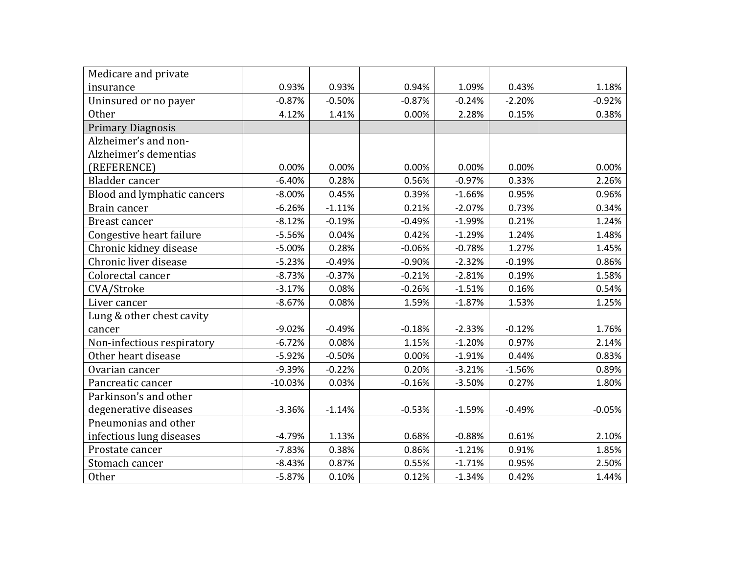| Medicare and private        |           |          |          |          |          |          |
|-----------------------------|-----------|----------|----------|----------|----------|----------|
| insurance                   | 0.93%     | 0.93%    | 0.94%    | 1.09%    | 0.43%    | 1.18%    |
| Uninsured or no payer       | $-0.87%$  | $-0.50%$ | $-0.87%$ | $-0.24%$ | $-2.20%$ | $-0.92%$ |
| <b>Other</b>                | 4.12%     | 1.41%    | 0.00%    | 2.28%    | 0.15%    | 0.38%    |
| <b>Primary Diagnosis</b>    |           |          |          |          |          |          |
| Alzheimer's and non-        |           |          |          |          |          |          |
| Alzheimer's dementias       |           |          |          |          |          |          |
| (REFERENCE)                 | 0.00%     | 0.00%    | 0.00%    | 0.00%    | 0.00%    | 0.00%    |
| Bladder cancer              | $-6.40%$  | 0.28%    | 0.56%    | $-0.97%$ | 0.33%    | 2.26%    |
| Blood and lymphatic cancers | $-8.00\%$ | 0.45%    | 0.39%    | $-1.66%$ | 0.95%    | 0.96%    |
| Brain cancer                | $-6.26%$  | $-1.11%$ | 0.21%    | $-2.07%$ | 0.73%    | 0.34%    |
| <b>Breast cancer</b>        | $-8.12%$  | $-0.19%$ | $-0.49%$ | $-1.99%$ | 0.21%    | 1.24%    |
| Congestive heart failure    | $-5.56%$  | 0.04%    | 0.42%    | $-1.29%$ | 1.24%    | 1.48%    |
| Chronic kidney disease      | $-5.00%$  | 0.28%    | $-0.06%$ | $-0.78%$ | 1.27%    | 1.45%    |
| Chronic liver disease       | $-5.23%$  | $-0.49%$ | $-0.90%$ | $-2.32%$ | $-0.19%$ | 0.86%    |
| Colorectal cancer           | $-8.73%$  | $-0.37%$ | $-0.21%$ | $-2.81%$ | 0.19%    | 1.58%    |
| CVA/Stroke                  | $-3.17%$  | 0.08%    | $-0.26%$ | $-1.51%$ | 0.16%    | 0.54%    |
| Liver cancer                | $-8.67%$  | 0.08%    | 1.59%    | $-1.87%$ | 1.53%    | 1.25%    |
| Lung & other chest cavity   |           |          |          |          |          |          |
| cancer                      | $-9.02%$  | $-0.49%$ | $-0.18%$ | $-2.33%$ | $-0.12%$ | 1.76%    |
| Non-infectious respiratory  | $-6.72%$  | 0.08%    | 1.15%    | $-1.20%$ | 0.97%    | 2.14%    |
| Other heart disease         | $-5.92%$  | $-0.50%$ | 0.00%    | $-1.91%$ | 0.44%    | 0.83%    |
| Ovarian cancer              | $-9.39%$  | $-0.22%$ | 0.20%    | $-3.21%$ | $-1.56%$ | 0.89%    |
| Pancreatic cancer           | $-10.03%$ | 0.03%    | $-0.16%$ | $-3.50%$ | 0.27%    | 1.80%    |
| Parkinson's and other       |           |          |          |          |          |          |
| degenerative diseases       | $-3.36%$  | $-1.14%$ | $-0.53%$ | $-1.59%$ | $-0.49%$ | $-0.05%$ |
| Pneumonias and other        |           |          |          |          |          |          |
| infectious lung diseases    | $-4.79%$  | 1.13%    | 0.68%    | $-0.88%$ | 0.61%    | 2.10%    |
| Prostate cancer             | $-7.83%$  | 0.38%    | 0.86%    | $-1.21%$ | 0.91%    | 1.85%    |
| Stomach cancer              | $-8.43%$  | 0.87%    | 0.55%    | $-1.71%$ | 0.95%    | 2.50%    |
| Other                       | $-5.87%$  | 0.10%    | 0.12%    | $-1.34%$ | 0.42%    | 1.44%    |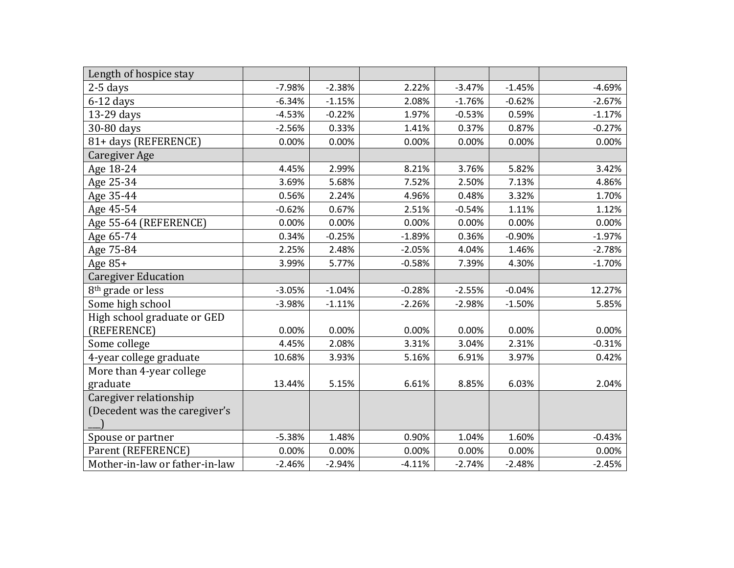| Length of hospice stay         |          |          |          |          |          |          |
|--------------------------------|----------|----------|----------|----------|----------|----------|
| $2-5$ days                     | $-7.98%$ | $-2.38%$ | 2.22%    | $-3.47%$ | $-1.45%$ | $-4.69%$ |
| $6-12$ days                    | $-6.34%$ | $-1.15%$ | 2.08%    | $-1.76%$ | $-0.62%$ | $-2.67%$ |
| 13-29 days                     | $-4.53%$ | $-0.22%$ | 1.97%    | $-0.53%$ | 0.59%    | $-1.17%$ |
| 30-80 days                     | $-2.56%$ | 0.33%    | 1.41%    | 0.37%    | 0.87%    | $-0.27%$ |
| 81+ days (REFERENCE)           | 0.00%    | 0.00%    | 0.00%    | 0.00%    | 0.00%    | 0.00%    |
| Caregiver Age                  |          |          |          |          |          |          |
| Age 18-24                      | 4.45%    | 2.99%    | 8.21%    | 3.76%    | 5.82%    | 3.42%    |
| Age 25-34                      | 3.69%    | 5.68%    | 7.52%    | 2.50%    | 7.13%    | 4.86%    |
| Age 35-44                      | 0.56%    | 2.24%    | 4.96%    | 0.48%    | 3.32%    | 1.70%    |
| Age 45-54                      | $-0.62%$ | 0.67%    | 2.51%    | $-0.54%$ | 1.11%    | 1.12%    |
| Age 55-64 (REFERENCE)          | 0.00%    | 0.00%    | 0.00%    | 0.00%    | 0.00%    | 0.00%    |
| Age 65-74                      | 0.34%    | $-0.25%$ | $-1.89%$ | 0.36%    | $-0.90%$ | $-1.97%$ |
| Age 75-84                      | 2.25%    | 2.48%    | $-2.05%$ | 4.04%    | 1.46%    | $-2.78%$ |
| Age $85+$                      | 3.99%    | 5.77%    | $-0.58%$ | 7.39%    | 4.30%    | $-1.70%$ |
| <b>Caregiver Education</b>     |          |          |          |          |          |          |
| 8 <sup>th</sup> grade or less  | $-3.05%$ | $-1.04%$ | $-0.28%$ | $-2.55%$ | $-0.04%$ | 12.27%   |
| Some high school               | $-3.98%$ | $-1.11%$ | $-2.26%$ | $-2.98%$ | $-1.50%$ | 5.85%    |
| High school graduate or GED    |          |          |          |          |          |          |
| (REFERENCE)                    | 0.00%    | 0.00%    | 0.00%    | 0.00%    | 0.00%    | 0.00%    |
| Some college                   | 4.45%    | 2.08%    | 3.31%    | 3.04%    | 2.31%    | $-0.31%$ |
| 4-year college graduate        | 10.68%   | 3.93%    | 5.16%    | 6.91%    | 3.97%    | 0.42%    |
| More than 4-year college       |          |          |          |          |          |          |
| graduate                       | 13.44%   | 5.15%    | 6.61%    | 8.85%    | 6.03%    | 2.04%    |
| Caregiver relationship         |          |          |          |          |          |          |
| (Decedent was the caregiver's  |          |          |          |          |          |          |
|                                |          |          |          |          |          |          |
| Spouse or partner              | $-5.38%$ | 1.48%    | 0.90%    | 1.04%    | 1.60%    | $-0.43%$ |
| Parent (REFERENCE)             | 0.00%    | 0.00%    | 0.00%    | 0.00%    | 0.00%    | 0.00%    |
| Mother-in-law or father-in-law | $-2.46%$ | $-2.94%$ | $-4.11%$ | $-2.74%$ | $-2.48%$ | $-2.45%$ |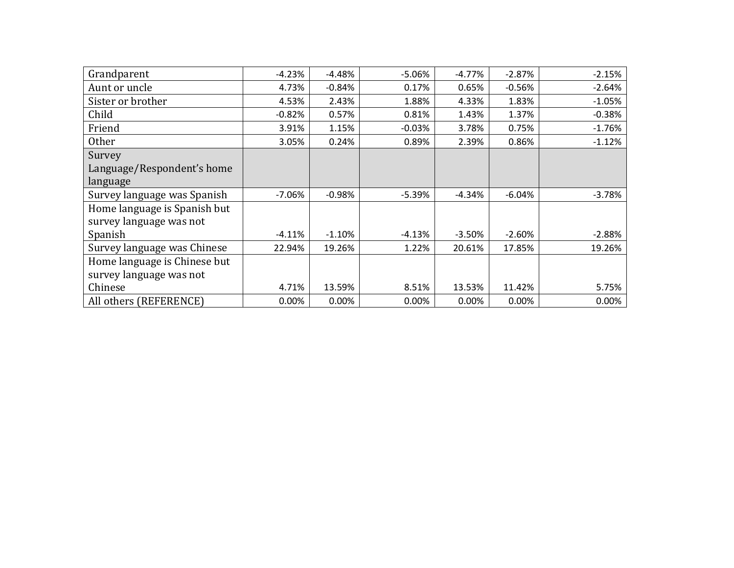| Grandparent                  | $-4.23%$ | $-4.48%$ | $-5.06%$ | $-4.77%$  | $-2.87%$ | $-2.15%$ |
|------------------------------|----------|----------|----------|-----------|----------|----------|
| Aunt or uncle                | 4.73%    | $-0.84%$ | 0.17%    | 0.65%     | $-0.56%$ | $-2.64%$ |
| Sister or brother            | 4.53%    | 2.43%    | 1.88%    | 4.33%     | 1.83%    | $-1.05%$ |
| Child                        | $-0.82%$ | 0.57%    | 0.81%    | 1.43%     | 1.37%    | $-0.38%$ |
| Friend                       | 3.91%    | 1.15%    | $-0.03%$ | 3.78%     | 0.75%    | $-1.76%$ |
| Other                        | 3.05%    | 0.24%    | 0.89%    | 2.39%     | 0.86%    | $-1.12%$ |
| Survey                       |          |          |          |           |          |          |
| Language/Respondent's home   |          |          |          |           |          |          |
| language                     |          |          |          |           |          |          |
| Survey language was Spanish  | -7.06%   | $-0.98%$ | $-5.39%$ | -4.34%    | $-6.04%$ | $-3.78%$ |
| Home language is Spanish but |          |          |          |           |          |          |
| survey language was not      |          |          |          |           |          |          |
| Spanish                      | $-4.11%$ | $-1.10%$ | $-4.13%$ | $-3.50\%$ | $-2.60%$ | $-2.88%$ |
| Survey language was Chinese  | 22.94%   | 19.26%   | 1.22%    | 20.61%    | 17.85%   | 19.26%   |
| Home language is Chinese but |          |          |          |           |          |          |
| survey language was not      |          |          |          |           |          |          |
| Chinese                      | 4.71%    | 13.59%   | 8.51%    | 13.53%    | 11.42%   | 5.75%    |
| All others (REFERENCE)       | 0.00%    | 0.00%    | 0.00%    | 0.00%     | 0.00%    | 0.00%    |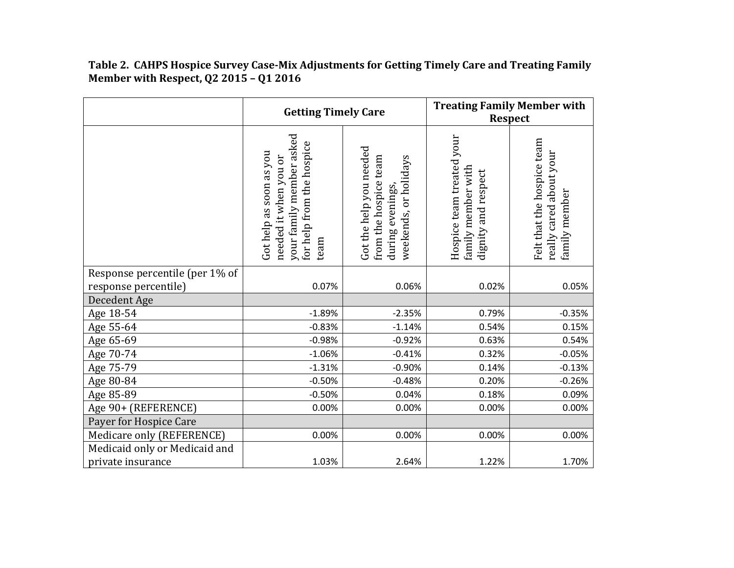**Getting Timely Care Treating Family Member with Respect**  your family member asked Hospice team treated your your family member asked Hospice team treated your Felt that the hospice team Felt that the hospice team for help from the hospice for help from the hospice Got the help you needed Got the help you needed Got help as soon as you really cared about your really cared about your Got help as soon as you needed it when you or from the hospice team needed it when you or weekends, or holidays from the hospice team weekends, or holidays family member with<br>dignity and respect family member with dignity and respect during evenings, during evenings, family member family member team Response percentile (per 1% of response percentile) 0.07% 0.06% 0.02% 0.05% Decedent Age Age 18-54 -1.89% | -2.35% | 0.79% | -0.35%  $\text{Age 55-64} \hspace{1.5cm} | \hspace{1.5cm}$  -0.83%  $| \hspace{1.5cm}$  -1.14%  $| \hspace{1.5cm}$  0.54%  $| \hspace{1.5cm}$  0.15% Age 65-69 -0.98% | -0.92% | 0.63% | 0.54% Age 70-74 -1.06% | -0.41% | 0.32% | -0.05% Age 75-79 -1.31% -0.90% 0.14% -0.13% Age 80-84 -0.50% | -0.48% | 0.20% | -0.26% Age 85-89 -0.50% | 0.04% | 0.18% | 0.09% Age 90+ (REFERENCE) 0.00% 0.00% 0.00% 0.00% Payer for Hospice Care Medicare only (REFERENCE) 0.00% 0.00% 0.00% 0.00% Medicaid only or Medicaid and private insurance 1.03% 2.64% 1.22% 1.70%

**Table 2. CAHPS Hospice Survey Case-Mix Adjustments for Getting Timely Care and Treating Family Member with Respect, Q2 2015 – Q1 2016**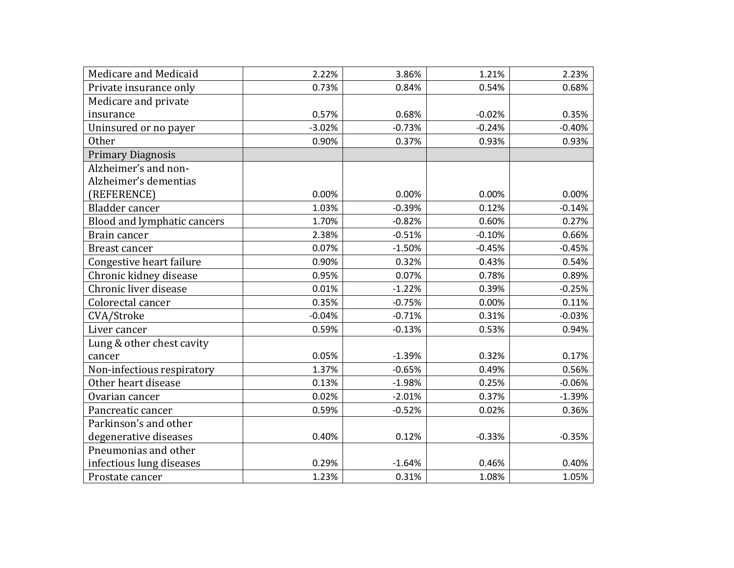| Medicare and Medicaid       | 2.22%    | 3.86%    | 1.21%    | 2.23%    |
|-----------------------------|----------|----------|----------|----------|
| Private insurance only      | 0.73%    | 0.84%    | 0.54%    | 0.68%    |
| Medicare and private        |          |          |          |          |
| insurance                   | 0.57%    | 0.68%    | $-0.02%$ | 0.35%    |
| Uninsured or no payer       | $-3.02%$ | $-0.73%$ | $-0.24%$ | $-0.40%$ |
| Other                       | 0.90%    | 0.37%    | 0.93%    | 0.93%    |
| <b>Primary Diagnosis</b>    |          |          |          |          |
| Alzheimer's and non-        |          |          |          |          |
| Alzheimer's dementias       |          |          |          |          |
| (REFERENCE)                 | 0.00%    | 0.00%    | 0.00%    | 0.00%    |
| Bladder cancer              | 1.03%    | $-0.39%$ | 0.12%    | $-0.14%$ |
| Blood and lymphatic cancers | 1.70%    | $-0.82%$ | 0.60%    | 0.27%    |
| Brain cancer                | 2.38%    | $-0.51%$ | $-0.10%$ | 0.66%    |
| <b>Breast cancer</b>        | 0.07%    | $-1.50%$ | $-0.45%$ | $-0.45%$ |
| Congestive heart failure    | 0.90%    | 0.32%    | 0.43%    | 0.54%    |
| Chronic kidney disease      | 0.95%    | 0.07%    | 0.78%    | 0.89%    |
| Chronic liver disease       | 0.01%    | $-1.22%$ | 0.39%    | $-0.25%$ |
| Colorectal cancer           | 0.35%    | $-0.75%$ | 0.00%    | 0.11%    |
| CVA/Stroke                  | $-0.04%$ | $-0.71%$ | 0.31%    | $-0.03%$ |
| Liver cancer                | 0.59%    | $-0.13%$ | 0.53%    | 0.94%    |
| Lung & other chest cavity   |          |          |          |          |
| cancer                      | 0.05%    | $-1.39%$ | 0.32%    | 0.17%    |
| Non-infectious respiratory  | 1.37%    | $-0.65%$ | 0.49%    | 0.56%    |
| Other heart disease         | 0.13%    | $-1.98%$ | 0.25%    | $-0.06%$ |
| Ovarian cancer              | 0.02%    | $-2.01%$ | 0.37%    | $-1.39%$ |
| Pancreatic cancer           | 0.59%    | $-0.52%$ | 0.02%    | 0.36%    |
| Parkinson's and other       |          |          |          |          |
| degenerative diseases       | 0.40%    | 0.12%    | $-0.33%$ | $-0.35%$ |
| Pneumonias and other        |          |          |          |          |
| infectious lung diseases    | 0.29%    | $-1.64%$ | 0.46%    | 0.40%    |
| Prostate cancer             | 1.23%    | 0.31%    | 1.08%    | 1.05%    |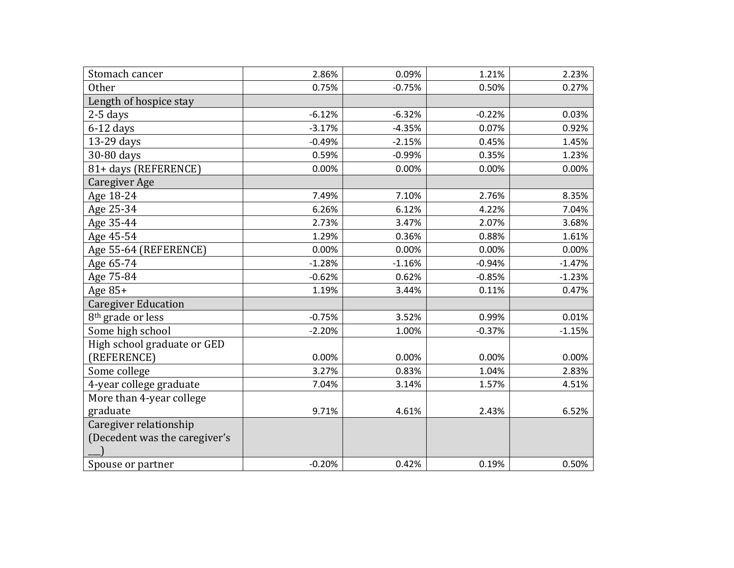| Stomach cancer                | 2.86%    | 0.09%    | 1.21%    | 2.23%    |
|-------------------------------|----------|----------|----------|----------|
| <b>Other</b>                  | 0.75%    | $-0.75%$ | 0.50%    | 0.27%    |
| Length of hospice stay        |          |          |          |          |
| $2-5$ days                    | $-6.12%$ | $-6.32%$ | $-0.22%$ | 0.03%    |
| $6-12$ days                   | $-3.17%$ | $-4.35%$ | 0.07%    | 0.92%    |
| 13-29 days                    | $-0.49%$ | $-2.15%$ | 0.45%    | 1.45%    |
| 30-80 days                    | 0.59%    | $-0.99%$ | 0.35%    | 1.23%    |
| 81+ days (REFERENCE)          | 0.00%    | 0.00%    | 0.00%    | 0.00%    |
| Caregiver Age                 |          |          |          |          |
| Age 18-24                     | 7.49%    | 7.10%    | 2.76%    | 8.35%    |
| Age 25-34                     | 6.26%    | 6.12%    | 4.22%    | 7.04%    |
| Age 35-44                     | 2.73%    | 3.47%    | 2.07%    | 3.68%    |
| Age 45-54                     | 1.29%    | 0.36%    | 0.88%    | 1.61%    |
| Age 55-64 (REFERENCE)         | 0.00%    | 0.00%    | 0.00%    | 0.00%    |
| Age 65-74                     | $-1.28%$ | $-1.16%$ | $-0.94%$ | $-1.47%$ |
| Age 75-84                     | $-0.62%$ | 0.62%    | $-0.85%$ | $-1.23%$ |
| Age $85+$                     | 1.19%    | 3.44%    | 0.11%    | 0.47%    |
| <b>Caregiver Education</b>    |          |          |          |          |
| 8 <sup>th</sup> grade or less | $-0.75%$ | 3.52%    | 0.99%    | 0.01%    |
| Some high school              | $-2.20%$ | 1.00%    | $-0.37%$ | $-1.15%$ |
| High school graduate or GED   |          |          |          |          |
| (REFERENCE)                   | 0.00%    | 0.00%    | 0.00%    | 0.00%    |
| Some college                  | 3.27%    | 0.83%    | 1.04%    | 2.83%    |
| 4-year college graduate       | 7.04%    | 3.14%    | 1.57%    | 4.51%    |
| More than 4-year college      |          |          |          |          |
| graduate                      | 9.71%    | 4.61%    | 2.43%    | 6.52%    |
| Caregiver relationship        |          |          |          |          |
| (Decedent was the caregiver's |          |          |          |          |
|                               |          |          |          |          |
| Spouse or partner             | $-0.20%$ | 0.42%    | 0.19%    | 0.50%    |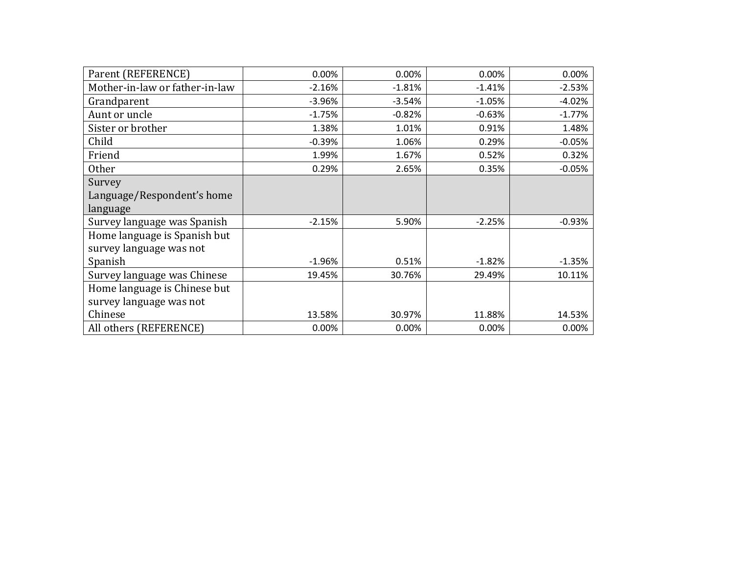| Parent (REFERENCE)             | 0.00%    | 0.00%    | 0.00%    | 0.00%    |
|--------------------------------|----------|----------|----------|----------|
| Mother-in-law or father-in-law | $-2.16%$ | $-1.81%$ | $-1.41%$ | $-2.53%$ |
| Grandparent                    | $-3.96%$ | $-3.54%$ | $-1.05%$ | $-4.02%$ |
| Aunt or uncle                  | $-1.75%$ | $-0.82%$ | $-0.63%$ | $-1.77%$ |
| Sister or brother              | 1.38%    | 1.01%    | 0.91%    | 1.48%    |
| Child                          | $-0.39%$ | 1.06%    | 0.29%    | $-0.05%$ |
| Friend                         | 1.99%    | 1.67%    | 0.52%    | 0.32%    |
| <b>Other</b>                   | 0.29%    | 2.65%    | 0.35%    | $-0.05%$ |
| Survey                         |          |          |          |          |
| Language/Respondent's home     |          |          |          |          |
| language                       |          |          |          |          |
| Survey language was Spanish    | $-2.15%$ | 5.90%    | $-2.25%$ | $-0.93%$ |
| Home language is Spanish but   |          |          |          |          |
| survey language was not        |          |          |          |          |
| Spanish                        | $-1.96%$ | 0.51%    | $-1.82%$ | $-1.35%$ |
| Survey language was Chinese    | 19.45%   | 30.76%   | 29.49%   | 10.11%   |
| Home language is Chinese but   |          |          |          |          |
| survey language was not        |          |          |          |          |
| Chinese                        | 13.58%   | 30.97%   | 11.88%   | 14.53%   |
| All others (REFERENCE)         | 0.00%    | 0.00%    | 0.00%    | 0.00%    |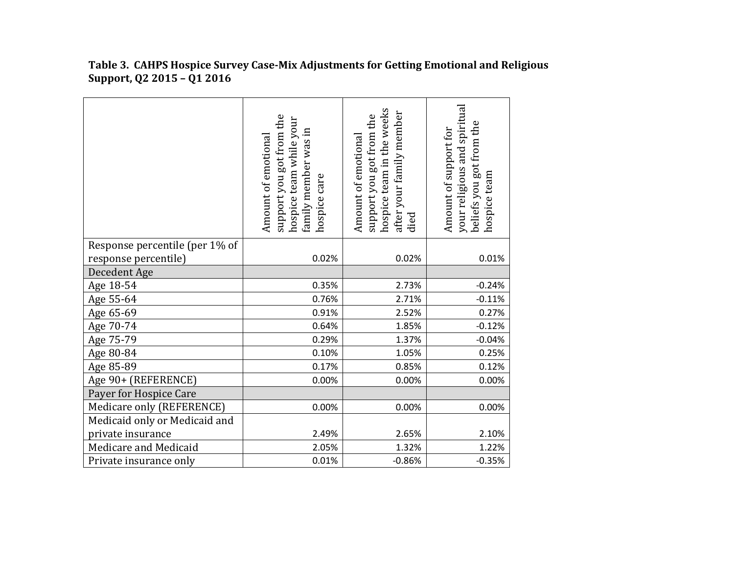|                                | support you got from the<br>hospice team while your<br>family member was in<br>Amount of emotional<br>hospice care | hospice team in the weeks<br>after your family member<br>died<br>support you got from the<br>Amount of emotional | your religious and spiritual<br>beliefs you got from the<br>Amount of support for<br>hospice team |
|--------------------------------|--------------------------------------------------------------------------------------------------------------------|------------------------------------------------------------------------------------------------------------------|---------------------------------------------------------------------------------------------------|
| Response percentile (per 1% of |                                                                                                                    |                                                                                                                  |                                                                                                   |
| response percentile)           | 0.02%                                                                                                              | 0.02%                                                                                                            | 0.01%                                                                                             |
| Decedent Age                   |                                                                                                                    |                                                                                                                  |                                                                                                   |
| Age 18-54                      | 0.35%                                                                                                              | 2.73%                                                                                                            | $-0.24%$                                                                                          |
| Age 55-64                      | 0.76%                                                                                                              | 2.71%                                                                                                            | $-0.11%$                                                                                          |
| Age 65-69                      | 0.91%                                                                                                              | 2.52%                                                                                                            | 0.27%                                                                                             |
| Age 70-74                      | 0.64%                                                                                                              | 1.85%                                                                                                            | $-0.12%$                                                                                          |
| Age 75-79                      | 0.29%                                                                                                              | 1.37%                                                                                                            | $-0.04%$                                                                                          |
| Age 80-84                      | 0.10%                                                                                                              | 1.05%                                                                                                            | 0.25%                                                                                             |
| Age 85-89                      | 0.17%                                                                                                              | 0.85%                                                                                                            | 0.12%                                                                                             |
| Age 90+ (REFERENCE)            | 0.00%                                                                                                              | 0.00%                                                                                                            | 0.00%                                                                                             |
| Payer for Hospice Care         |                                                                                                                    |                                                                                                                  |                                                                                                   |
| Medicare only (REFERENCE)      | 0.00%                                                                                                              | 0.00%                                                                                                            | 0.00%                                                                                             |
| Medicaid only or Medicaid and  |                                                                                                                    |                                                                                                                  |                                                                                                   |
| private insurance              | 2.49%                                                                                                              | 2.65%                                                                                                            | 2.10%                                                                                             |
| Medicare and Medicaid          | 2.05%                                                                                                              | 1.32%                                                                                                            | 1.22%                                                                                             |
| Private insurance only         | 0.01%                                                                                                              | $-0.86%$                                                                                                         | $-0.35%$                                                                                          |

**Table 3. CAHPS Hospice Survey Case-Mix Adjustments for Getting Emotional and Religious Support, Q2 2015 – Q1 2016**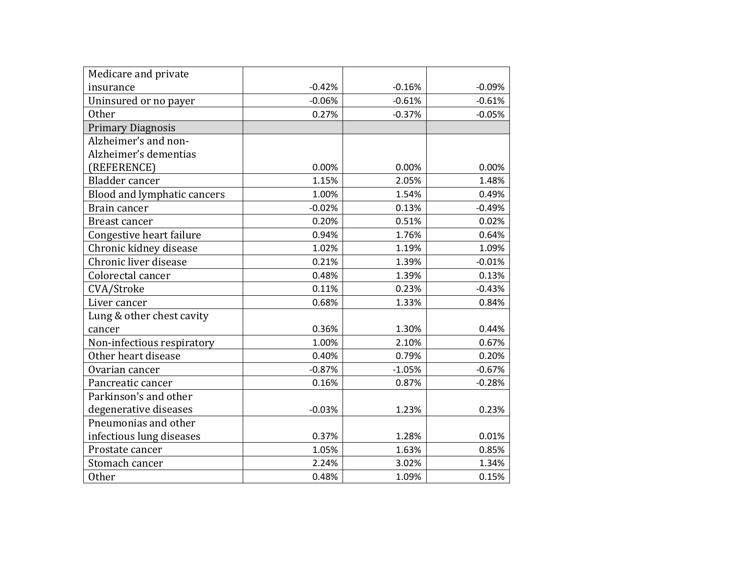| Medicare and private        |          |          |          |
|-----------------------------|----------|----------|----------|
| insurance                   | $-0.42%$ | $-0.16%$ | $-0.09%$ |
| Uninsured or no payer       | $-0.06%$ | $-0.61%$ | $-0.61%$ |
| <b>Other</b>                | 0.27%    | $-0.37%$ | $-0.05%$ |
| <b>Primary Diagnosis</b>    |          |          |          |
| Alzheimer's and non-        |          |          |          |
| Alzheimer's dementias       |          |          |          |
| (REFERENCE)                 | 0.00%    | 0.00%    | 0.00%    |
| Bladder cancer              | 1.15%    | 2.05%    | 1.48%    |
| Blood and lymphatic cancers | 1.00%    | 1.54%    | 0.49%    |
| Brain cancer                | $-0.02%$ | 0.13%    | $-0.49%$ |
| <b>Breast cancer</b>        | 0.20%    | 0.51%    | 0.02%    |
| Congestive heart failure    | 0.94%    | 1.76%    | 0.64%    |
| Chronic kidney disease      | 1.02%    | 1.19%    | 1.09%    |
| Chronic liver disease       | 0.21%    | 1.39%    | $-0.01%$ |
| Colorectal cancer           | 0.48%    | 1.39%    | 0.13%    |
| CVA/Stroke                  | 0.11%    | 0.23%    | $-0.43%$ |
| Liver cancer                | 0.68%    | 1.33%    | 0.84%    |
| Lung & other chest cavity   |          |          |          |
| cancer                      | 0.36%    | 1.30%    | 0.44%    |
| Non-infectious respiratory  | 1.00%    | 2.10%    | 0.67%    |
| Other heart disease         | 0.40%    | 0.79%    | 0.20%    |
| Ovarian cancer              | $-0.87%$ | $-1.05%$ | $-0.67%$ |
| Pancreatic cancer           | 0.16%    | 0.87%    | $-0.28%$ |
| Parkinson's and other       |          |          |          |
| degenerative diseases       | $-0.03%$ | 1.23%    | 0.23%    |
| Pneumonias and other        |          |          |          |
| infectious lung diseases    | 0.37%    | 1.28%    | 0.01%    |
| Prostate cancer             | 1.05%    | 1.63%    | 0.85%    |
| Stomach cancer              | 2.24%    | 3.02%    | 1.34%    |
| <b>Other</b>                | 0.48%    | 1.09%    | 0.15%    |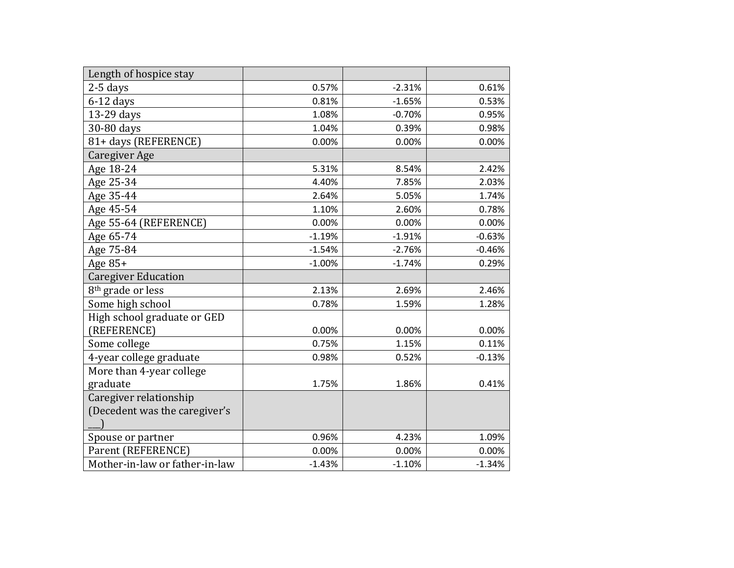| Length of hospice stay         |          |          |          |
|--------------------------------|----------|----------|----------|
| $2-5$ days                     | 0.57%    | $-2.31%$ | 0.61%    |
| $6-12$ days                    | 0.81%    | $-1.65%$ | 0.53%    |
| 13-29 days                     | 1.08%    | $-0.70%$ | 0.95%    |
| 30-80 days                     | 1.04%    | 0.39%    | 0.98%    |
| 81+ days (REFERENCE)           | 0.00%    | 0.00%    | 0.00%    |
| Caregiver Age                  |          |          |          |
| Age 18-24                      | 5.31%    | 8.54%    | 2.42%    |
| Age 25-34                      | 4.40%    | 7.85%    | 2.03%    |
| Age 35-44                      | 2.64%    | 5.05%    | 1.74%    |
| Age 45-54                      | 1.10%    | 2.60%    | 0.78%    |
| Age 55-64 (REFERENCE)          | 0.00%    | 0.00%    | 0.00%    |
| Age 65-74                      | $-1.19%$ | $-1.91%$ | $-0.63%$ |
| Age 75-84                      | $-1.54%$ | $-2.76%$ | $-0.46%$ |
| Age 85+                        | $-1.00%$ | $-1.74%$ | 0.29%    |
| <b>Caregiver Education</b>     |          |          |          |
| 8 <sup>th</sup> grade or less  | 2.13%    | 2.69%    | 2.46%    |
| Some high school               | 0.78%    | 1.59%    | 1.28%    |
| High school graduate or GED    |          |          |          |
| (REFERENCE)                    | 0.00%    | 0.00%    | 0.00%    |
| Some college                   | 0.75%    | 1.15%    | 0.11%    |
| 4-year college graduate        | 0.98%    | 0.52%    | $-0.13%$ |
| More than 4-year college       |          |          |          |
| graduate                       | 1.75%    | 1.86%    | 0.41%    |
| Caregiver relationship         |          |          |          |
| (Decedent was the caregiver's  |          |          |          |
|                                |          |          |          |
| Spouse or partner              | 0.96%    | 4.23%    | 1.09%    |
| Parent (REFERENCE)             | 0.00%    | 0.00%    | 0.00%    |
| Mother-in-law or father-in-law | $-1.43%$ | $-1.10%$ | $-1.34%$ |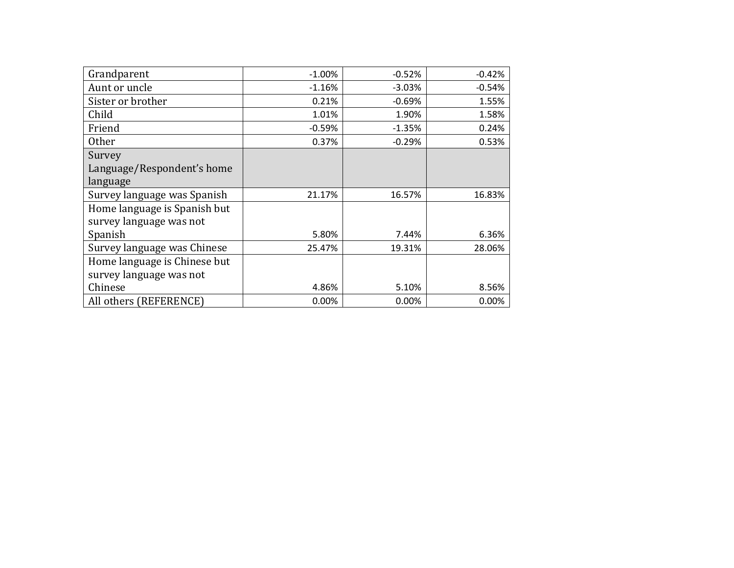| Grandparent                  | $-1.00\%$ | $-0.52%$ | $-0.42%$ |
|------------------------------|-----------|----------|----------|
| Aunt or uncle                | $-1.16%$  | $-3.03%$ | $-0.54%$ |
| Sister or brother            | 0.21%     | $-0.69%$ | 1.55%    |
| Child                        | 1.01%     | 1.90%    | 1.58%    |
| Friend                       | $-0.59%$  | $-1.35%$ | 0.24%    |
| <b>Other</b>                 | 0.37%     | $-0.29%$ | 0.53%    |
| Survey                       |           |          |          |
| Language/Respondent's home   |           |          |          |
| language                     |           |          |          |
| Survey language was Spanish  | 21.17%    | 16.57%   | 16.83%   |
| Home language is Spanish but |           |          |          |
| survey language was not      |           |          |          |
| Spanish                      | 5.80%     | 7.44%    | 6.36%    |
| Survey language was Chinese  | 25.47%    | 19.31%   | 28.06%   |
| Home language is Chinese but |           |          |          |
| survey language was not      |           |          |          |
| Chinese                      | 4.86%     | 5.10%    | 8.56%    |
| All others (REFERENCE)       | 0.00%     | 0.00%    | 0.00%    |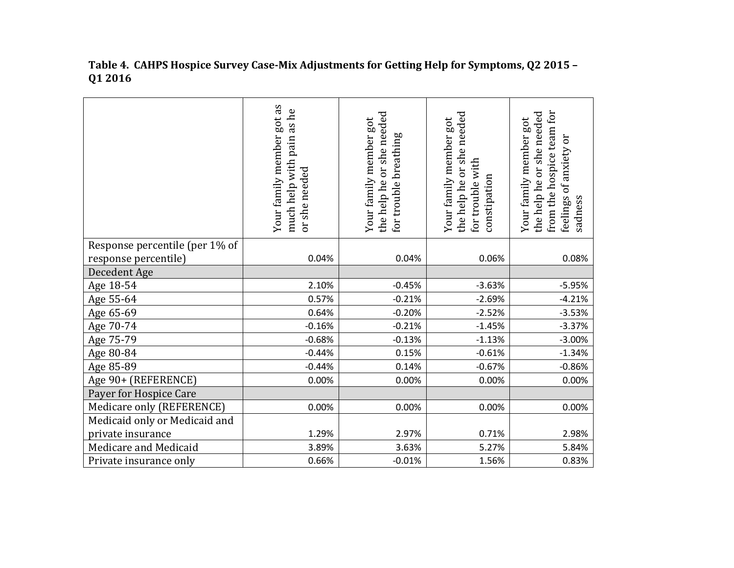|                                | Your family member got as<br>as he<br>pain<br>much help with<br>she needed<br>ð | or she needed<br>Your family member got<br>breathing<br>the help he<br>for trouble | the help he or she needed<br>Your family member got<br>for trouble with<br>constipation | from the hospice team for<br>or she needed<br>Your family member got<br>feelings of anxiety or<br>the help he<br>sadness |
|--------------------------------|---------------------------------------------------------------------------------|------------------------------------------------------------------------------------|-----------------------------------------------------------------------------------------|--------------------------------------------------------------------------------------------------------------------------|
| Response percentile (per 1% of |                                                                                 |                                                                                    |                                                                                         |                                                                                                                          |
| response percentile)           | 0.04%                                                                           | 0.04%                                                                              | 0.06%                                                                                   | 0.08%                                                                                                                    |
| Decedent Age                   |                                                                                 |                                                                                    |                                                                                         |                                                                                                                          |
| Age 18-54                      | 2.10%                                                                           | $-0.45%$                                                                           | $-3.63%$                                                                                | $-5.95%$                                                                                                                 |
| Age 55-64                      | 0.57%                                                                           | $-0.21%$                                                                           | $-2.69%$                                                                                | $-4.21%$                                                                                                                 |
| Age 65-69                      | 0.64%                                                                           | $-0.20%$                                                                           | $-2.52%$                                                                                | $-3.53%$                                                                                                                 |
| Age 70-74                      | $-0.16%$                                                                        | $-0.21%$                                                                           | $-1.45%$                                                                                | $-3.37%$                                                                                                                 |
| Age 75-79                      | $-0.68%$                                                                        | $-0.13%$                                                                           | $-1.13%$                                                                                | $-3.00%$                                                                                                                 |
| Age 80-84                      | $-0.44%$                                                                        | 0.15%                                                                              | $-0.61%$                                                                                | $-1.34%$                                                                                                                 |
| Age 85-89                      | $-0.44%$                                                                        | 0.14%                                                                              | $-0.67%$                                                                                | $-0.86%$                                                                                                                 |
| Age 90+ (REFERENCE)            | 0.00%                                                                           | 0.00%                                                                              | 0.00%                                                                                   | 0.00%                                                                                                                    |
| Payer for Hospice Care         |                                                                                 |                                                                                    |                                                                                         |                                                                                                                          |
| Medicare only (REFERENCE)      | 0.00%                                                                           | 0.00%                                                                              | 0.00%                                                                                   | 0.00%                                                                                                                    |
| Medicaid only or Medicaid and  |                                                                                 |                                                                                    |                                                                                         |                                                                                                                          |
| private insurance              | 1.29%                                                                           | 2.97%                                                                              | 0.71%                                                                                   | 2.98%                                                                                                                    |
| Medicare and Medicaid          | 3.89%                                                                           | 3.63%                                                                              | 5.27%                                                                                   | 5.84%                                                                                                                    |
| Private insurance only         | 0.66%                                                                           | $-0.01%$                                                                           | 1.56%                                                                                   | 0.83%                                                                                                                    |

**Table 4. CAHPS Hospice Survey Case-Mix Adjustments for Getting Help for Symptoms, Q2 2015 – Q1 2016**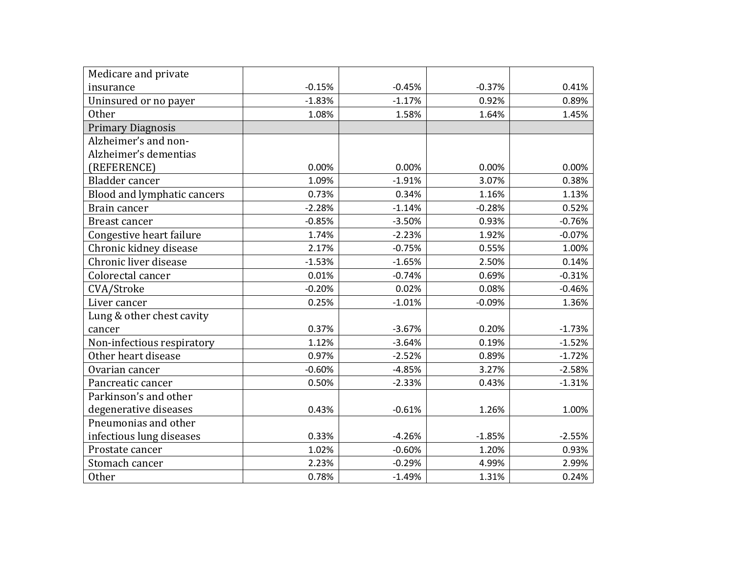| Medicare and private        |          |          |          |          |
|-----------------------------|----------|----------|----------|----------|
| insurance                   | $-0.15%$ | $-0.45%$ | $-0.37%$ | 0.41%    |
| Uninsured or no payer       | $-1.83%$ | $-1.17%$ | 0.92%    | 0.89%    |
| <b>Other</b>                | 1.08%    | 1.58%    | 1.64%    | 1.45%    |
| <b>Primary Diagnosis</b>    |          |          |          |          |
| Alzheimer's and non-        |          |          |          |          |
| Alzheimer's dementias       |          |          |          |          |
| (REFERENCE)                 | 0.00%    | 0.00%    | 0.00%    | 0.00%    |
| <b>Bladder</b> cancer       | 1.09%    | $-1.91%$ | 3.07%    | 0.38%    |
| Blood and lymphatic cancers | 0.73%    | 0.34%    | 1.16%    | 1.13%    |
| Brain cancer                | $-2.28%$ | $-1.14%$ | $-0.28%$ | 0.52%    |
| <b>Breast cancer</b>        | $-0.85%$ | $-3.50%$ | 0.93%    | $-0.76%$ |
| Congestive heart failure    | 1.74%    | $-2.23%$ | 1.92%    | $-0.07%$ |
| Chronic kidney disease      | 2.17%    | $-0.75%$ | 0.55%    | 1.00%    |
| Chronic liver disease       | $-1.53%$ | $-1.65%$ | 2.50%    | 0.14%    |
| Colorectal cancer           | 0.01%    | $-0.74%$ | 0.69%    | $-0.31%$ |
| CVA/Stroke                  | $-0.20%$ | 0.02%    | 0.08%    | $-0.46%$ |
| Liver cancer                | 0.25%    | $-1.01%$ | $-0.09%$ | 1.36%    |
| Lung & other chest cavity   |          |          |          |          |
| cancer                      | 0.37%    | $-3.67%$ | 0.20%    | $-1.73%$ |
| Non-infectious respiratory  | 1.12%    | $-3.64%$ | 0.19%    | $-1.52%$ |
| Other heart disease         | 0.97%    | $-2.52%$ | 0.89%    | $-1.72%$ |
| Ovarian cancer              | $-0.60%$ | $-4.85%$ | 3.27%    | $-2.58%$ |
| Pancreatic cancer           | 0.50%    | $-2.33%$ | 0.43%    | $-1.31%$ |
| Parkinson's and other       |          |          |          |          |
| degenerative diseases       | 0.43%    | $-0.61%$ | 1.26%    | 1.00%    |
| Pneumonias and other        |          |          |          |          |
| infectious lung diseases    | 0.33%    | $-4.26%$ | $-1.85%$ | $-2.55%$ |
| Prostate cancer             | 1.02%    | $-0.60%$ | 1.20%    | 0.93%    |
| Stomach cancer              | 2.23%    | $-0.29%$ | 4.99%    | 2.99%    |
| <b>Other</b>                | 0.78%    | $-1.49%$ | 1.31%    | 0.24%    |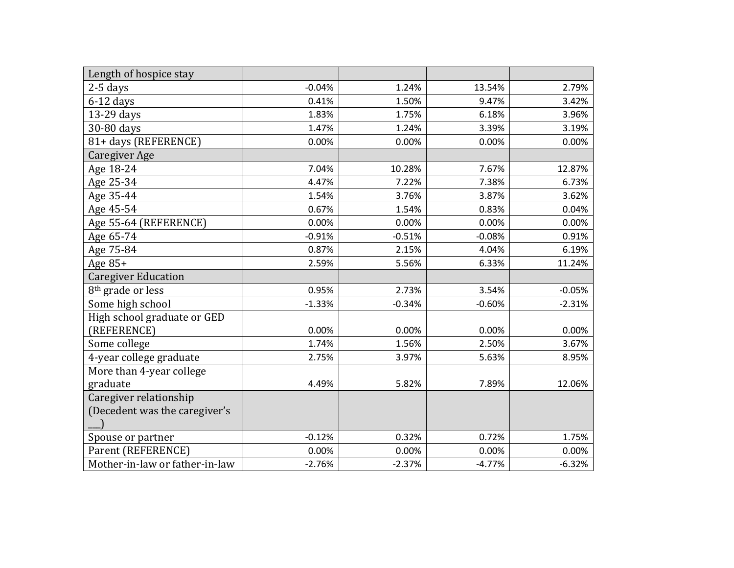| Length of hospice stay         |          |          |          |          |
|--------------------------------|----------|----------|----------|----------|
| $2-5$ days                     | $-0.04%$ | 1.24%    | 13.54%   | 2.79%    |
| $6-12$ days                    | 0.41%    | 1.50%    | 9.47%    | 3.42%    |
| 13-29 days                     | 1.83%    | 1.75%    | 6.18%    | 3.96%    |
| 30-80 days                     | 1.47%    | 1.24%    | 3.39%    | 3.19%    |
| 81+ days (REFERENCE)           | 0.00%    | 0.00%    | 0.00%    | 0.00%    |
| Caregiver Age                  |          |          |          |          |
| Age 18-24                      | 7.04%    | 10.28%   | 7.67%    | 12.87%   |
| Age 25-34                      | 4.47%    | 7.22%    | 7.38%    | 6.73%    |
| Age 35-44                      | 1.54%    | 3.76%    | 3.87%    | 3.62%    |
| Age 45-54                      | 0.67%    | 1.54%    | 0.83%    | 0.04%    |
| Age 55-64 (REFERENCE)          | 0.00%    | 0.00%    | 0.00%    | 0.00%    |
| Age 65-74                      | $-0.91%$ | $-0.51%$ | $-0.08%$ | 0.91%    |
| Age 75-84                      | 0.87%    | 2.15%    | 4.04%    | 6.19%    |
| Age $85+$                      | 2.59%    | 5.56%    | 6.33%    | 11.24%   |
| <b>Caregiver Education</b>     |          |          |          |          |
| 8 <sup>th</sup> grade or less  | 0.95%    | 2.73%    | 3.54%    | $-0.05%$ |
| Some high school               | $-1.33%$ | $-0.34%$ | $-0.60%$ | $-2.31%$ |
| High school graduate or GED    |          |          |          |          |
| (REFERENCE)                    | 0.00%    | 0.00%    | 0.00%    | 0.00%    |
| Some college                   | 1.74%    | 1.56%    | 2.50%    | 3.67%    |
| 4-year college graduate        | 2.75%    | 3.97%    | 5.63%    | 8.95%    |
| More than 4-year college       |          |          |          |          |
| graduate                       | 4.49%    | 5.82%    | 7.89%    | 12.06%   |
| Caregiver relationship         |          |          |          |          |
| (Decedent was the caregiver's  |          |          |          |          |
|                                |          |          |          |          |
| Spouse or partner              | $-0.12%$ | 0.32%    | 0.72%    | 1.75%    |
| Parent (REFERENCE)             | 0.00%    | 0.00%    | 0.00%    | 0.00%    |
| Mother-in-law or father-in-law | $-2.76%$ | $-2.37%$ | $-4.77%$ | $-6.32%$ |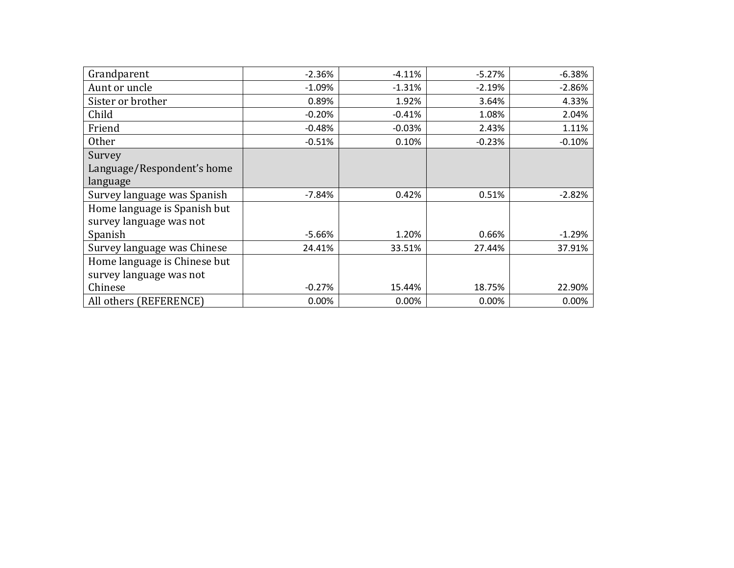| Grandparent                  | $-2.36%$ | $-4.11%$ | $-5.27%$ | $-6.38%$ |
|------------------------------|----------|----------|----------|----------|
| Aunt or uncle                | $-1.09%$ | $-1.31%$ | $-2.19%$ | $-2.86%$ |
| Sister or brother            | 0.89%    | 1.92%    | 3.64%    | 4.33%    |
| Child                        | $-0.20%$ | $-0.41%$ | 1.08%    | 2.04%    |
| Friend                       | $-0.48%$ | $-0.03%$ | 2.43%    | 1.11%    |
| <b>Other</b>                 | $-0.51%$ | 0.10%    | $-0.23%$ | $-0.10%$ |
| Survey                       |          |          |          |          |
| Language/Respondent's home   |          |          |          |          |
| language                     |          |          |          |          |
| Survey language was Spanish  | $-7.84%$ | 0.42%    | 0.51%    | $-2.82%$ |
| Home language is Spanish but |          |          |          |          |
| survey language was not      |          |          |          |          |
| Spanish                      | $-5.66%$ | 1.20%    | 0.66%    | $-1.29%$ |
| Survey language was Chinese  | 24.41%   | 33.51%   | 27.44%   | 37.91%   |
| Home language is Chinese but |          |          |          |          |
| survey language was not      |          |          |          |          |
| Chinese                      | $-0.27%$ | 15.44%   | 18.75%   | 22.90%   |
| All others (REFERENCE)       | 0.00%    | 0.00%    | 0.00%    | 0.00%    |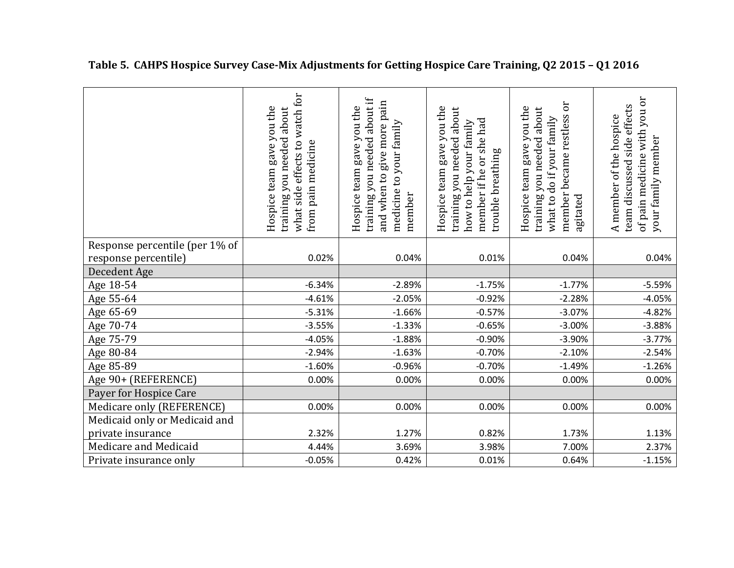|                                | what side effects to watch for<br>Hospice team gave you the<br>training you needed about<br>from pain medicine | training you needed about if<br>and when to give more pain<br>Hospice team gave you the<br>medicine to your family<br>member | Hospice team gave you the<br>training you needed about<br>member if he or she had<br>how to help your family<br>trouble breathing | member became restless or<br>Hospice team gave you the<br>training you needed about<br>what to do if your family<br>agitated | of pain medicine with you or<br>effects<br>A member of the hospice<br>your family member<br>side<br>team discussed |
|--------------------------------|----------------------------------------------------------------------------------------------------------------|------------------------------------------------------------------------------------------------------------------------------|-----------------------------------------------------------------------------------------------------------------------------------|------------------------------------------------------------------------------------------------------------------------------|--------------------------------------------------------------------------------------------------------------------|
| Response percentile (per 1% of |                                                                                                                |                                                                                                                              |                                                                                                                                   |                                                                                                                              |                                                                                                                    |
| response percentile)           | 0.02%                                                                                                          | 0.04%                                                                                                                        | 0.01%                                                                                                                             | 0.04%                                                                                                                        | 0.04%                                                                                                              |
| Decedent Age                   |                                                                                                                |                                                                                                                              |                                                                                                                                   |                                                                                                                              |                                                                                                                    |
| Age 18-54                      | $-6.34%$                                                                                                       | $-2.89%$                                                                                                                     | $-1.75%$                                                                                                                          | $-1.77%$                                                                                                                     | $-5.59%$                                                                                                           |
| Age 55-64                      | $-4.61%$                                                                                                       | $-2.05%$                                                                                                                     | $-0.92%$                                                                                                                          | $-2.28%$                                                                                                                     | $-4.05%$                                                                                                           |
| Age 65-69                      | $-5.31%$                                                                                                       | $-1.66%$                                                                                                                     | $-0.57%$                                                                                                                          | $-3.07%$                                                                                                                     | $-4.82%$                                                                                                           |
| Age 70-74                      | $-3.55%$                                                                                                       | $-1.33%$                                                                                                                     | $-0.65%$                                                                                                                          | $-3.00%$                                                                                                                     | $-3.88%$                                                                                                           |
| Age 75-79                      | $-4.05%$                                                                                                       | $-1.88%$                                                                                                                     | $-0.90%$                                                                                                                          | $-3.90%$                                                                                                                     | $-3.77%$                                                                                                           |
| Age 80-84                      | $-2.94%$                                                                                                       | $-1.63%$                                                                                                                     | $-0.70%$                                                                                                                          | $-2.10%$                                                                                                                     | $-2.54%$                                                                                                           |
| Age 85-89                      | $-1.60%$                                                                                                       | $-0.96%$                                                                                                                     | $-0.70%$                                                                                                                          | $-1.49%$                                                                                                                     | $-1.26%$                                                                                                           |
| Age 90+ (REFERENCE)            | 0.00%                                                                                                          | 0.00%                                                                                                                        | 0.00%                                                                                                                             | 0.00%                                                                                                                        | 0.00%                                                                                                              |
| Payer for Hospice Care         |                                                                                                                |                                                                                                                              |                                                                                                                                   |                                                                                                                              |                                                                                                                    |
| Medicare only (REFERENCE)      | 0.00%                                                                                                          | 0.00%                                                                                                                        | 0.00%                                                                                                                             | 0.00%                                                                                                                        | 0.00%                                                                                                              |
| Medicaid only or Medicaid and  |                                                                                                                |                                                                                                                              |                                                                                                                                   |                                                                                                                              |                                                                                                                    |
| private insurance              | 2.32%                                                                                                          | 1.27%                                                                                                                        | 0.82%                                                                                                                             | 1.73%                                                                                                                        | 1.13%                                                                                                              |
| Medicare and Medicaid          | 4.44%                                                                                                          | 3.69%                                                                                                                        | 3.98%                                                                                                                             | 7.00%                                                                                                                        | 2.37%                                                                                                              |
| Private insurance only         | $-0.05%$                                                                                                       | 0.42%                                                                                                                        | 0.01%                                                                                                                             | 0.64%                                                                                                                        | $-1.15%$                                                                                                           |

**Table 5. CAHPS Hospice Survey Case-Mix Adjustments for Getting Hospice Care Training, Q2 2015 – Q1 2016**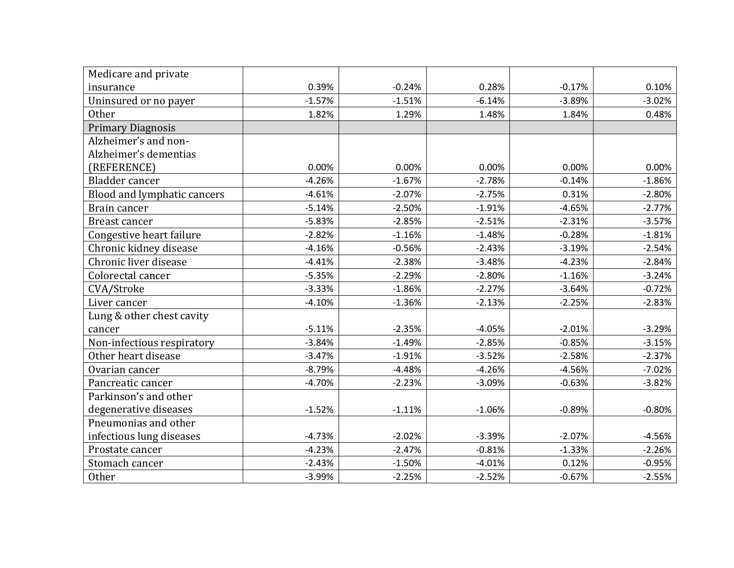| Medicare and private        |          |          |          |          |          |
|-----------------------------|----------|----------|----------|----------|----------|
| insurance                   | 0.39%    | $-0.24%$ | 0.28%    | $-0.17%$ | 0.10%    |
| Uninsured or no payer       | $-1.57%$ | $-1.51%$ | $-6.14%$ | $-3.89%$ | $-3.02%$ |
| Other                       | 1.82%    | 1.29%    | 1.48%    | 1.84%    | 0.48%    |
| <b>Primary Diagnosis</b>    |          |          |          |          |          |
| Alzheimer's and non-        |          |          |          |          |          |
| Alzheimer's dementias       |          |          |          |          |          |
| (REFERENCE)                 | 0.00%    | 0.00%    | 0.00%    | 0.00%    | 0.00%    |
| Bladder cancer              | $-4.26%$ | $-1.67%$ | $-2.78%$ | $-0.14%$ | $-1.86%$ |
| Blood and lymphatic cancers | $-4.61%$ | $-2.07%$ | $-2.75%$ | 0.31%    | $-2.80%$ |
| Brain cancer                | $-5.14%$ | $-2.50%$ | $-1.91%$ | $-4.65%$ | $-2.77%$ |
| Breast cancer               | $-5.83%$ | $-2.85%$ | $-2.51%$ | $-2.31%$ | $-3.57%$ |
| Congestive heart failure    | $-2.82%$ | $-1.16%$ | $-1.48%$ | $-0.28%$ | $-1.81%$ |
| Chronic kidney disease      | $-4.16%$ | $-0.56%$ | $-2.43%$ | $-3.19%$ | $-2.54%$ |
| Chronic liver disease       | $-4.41%$ | $-2.38%$ | $-3.48%$ | $-4.23%$ | $-2.84%$ |
| Colorectal cancer           | $-5.35%$ | $-2.29%$ | $-2.80%$ | $-1.16%$ | $-3.24%$ |
| CVA/Stroke                  | $-3.33%$ | $-1.86%$ | $-2.27%$ | $-3.64%$ | $-0.72%$ |
| Liver cancer                | $-4.10%$ | $-1.36%$ | $-2.13%$ | $-2.25%$ | $-2.83%$ |
| Lung & other chest cavity   |          |          |          |          |          |
| cancer                      | $-5.11%$ | $-2.35%$ | $-4.05%$ | $-2.01%$ | $-3.29%$ |
| Non-infectious respiratory  | $-3.84%$ | $-1.49%$ | $-2.85%$ | $-0.85%$ | $-3.15%$ |
| Other heart disease         | $-3.47%$ | $-1.91%$ | $-3.52%$ | $-2.58%$ | $-2.37%$ |
| Ovarian cancer              | $-8.79%$ | $-4.48%$ | $-4.26%$ | $-4.56%$ | $-7.02%$ |
| Pancreatic cancer           | $-4.70%$ | $-2.23%$ | $-3.09%$ | $-0.63%$ | $-3.82%$ |
| Parkinson's and other       |          |          |          |          |          |
| degenerative diseases       | $-1.52%$ | $-1.11%$ | $-1.06%$ | $-0.89%$ | $-0.80%$ |
| Pneumonias and other        |          |          |          |          |          |
| infectious lung diseases    | $-4.73%$ | $-2.02%$ | $-3.39%$ | $-2.07%$ | $-4.56%$ |
| Prostate cancer             | $-4.23%$ | $-2.47%$ | $-0.81%$ | $-1.33%$ | $-2.26%$ |
| Stomach cancer              | $-2.43%$ | $-1.50%$ | $-4.01%$ | 0.12%    | $-0.95%$ |
| <b>Other</b>                | $-3.99%$ | $-2.25%$ | $-2.52%$ | $-0.67%$ | $-2.55%$ |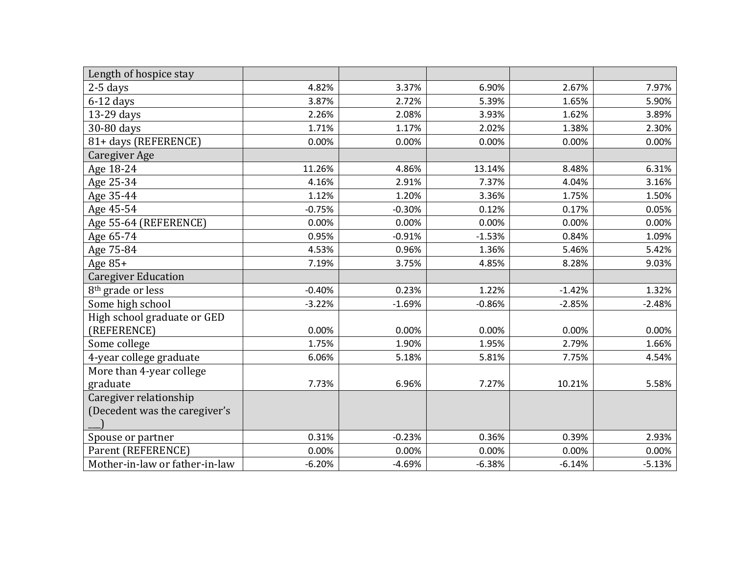| Length of hospice stay         |          |          |          |          |          |
|--------------------------------|----------|----------|----------|----------|----------|
| $2-5$ days                     | 4.82%    | 3.37%    | 6.90%    | 2.67%    | 7.97%    |
| $6-12$ days                    | 3.87%    | 2.72%    | 5.39%    | 1.65%    | 5.90%    |
| 13-29 days                     | 2.26%    | 2.08%    | 3.93%    | 1.62%    | 3.89%    |
| 30-80 days                     | 1.71%    | 1.17%    | 2.02%    | 1.38%    | 2.30%    |
| 81+ days (REFERENCE)           | 0.00%    | 0.00%    | 0.00%    | 0.00%    | 0.00%    |
| Caregiver Age                  |          |          |          |          |          |
| Age 18-24                      | 11.26%   | 4.86%    | 13.14%   | 8.48%    | 6.31%    |
| Age 25-34                      | 4.16%    | 2.91%    | 7.37%    | 4.04%    | 3.16%    |
| Age 35-44                      | 1.12%    | 1.20%    | 3.36%    | 1.75%    | 1.50%    |
| Age 45-54                      | $-0.75%$ | $-0.30%$ | 0.12%    | 0.17%    | 0.05%    |
| Age 55-64 (REFERENCE)          | 0.00%    | 0.00%    | 0.00%    | 0.00%    | 0.00%    |
| Age 65-74                      | 0.95%    | $-0.91%$ | $-1.53%$ | 0.84%    | 1.09%    |
| Age 75-84                      | 4.53%    | 0.96%    | 1.36%    | 5.46%    | 5.42%    |
| Age $85+$                      | 7.19%    | 3.75%    | 4.85%    | 8.28%    | 9.03%    |
| <b>Caregiver Education</b>     |          |          |          |          |          |
| 8 <sup>th</sup> grade or less  | $-0.40%$ | 0.23%    | 1.22%    | $-1.42%$ | 1.32%    |
| Some high school               | $-3.22%$ | $-1.69%$ | $-0.86%$ | $-2.85%$ | $-2.48%$ |
| High school graduate or GED    |          |          |          |          |          |
| (REFERENCE)                    | 0.00%    | 0.00%    | 0.00%    | 0.00%    | 0.00%    |
| Some college                   | 1.75%    | 1.90%    | 1.95%    | 2.79%    | 1.66%    |
| 4-year college graduate        | 6.06%    | 5.18%    | 5.81%    | 7.75%    | 4.54%    |
| More than 4-year college       |          |          |          |          |          |
| graduate                       | 7.73%    | 6.96%    | 7.27%    | 10.21%   | 5.58%    |
| Caregiver relationship         |          |          |          |          |          |
| (Decedent was the caregiver's  |          |          |          |          |          |
|                                |          |          |          |          |          |
| Spouse or partner              | 0.31%    | $-0.23%$ | 0.36%    | 0.39%    | 2.93%    |
| Parent (REFERENCE)             | 0.00%    | 0.00%    | 0.00%    | 0.00%    | 0.00%    |
| Mother-in-law or father-in-law | $-6.20%$ | $-4.69%$ | $-6.38%$ | $-6.14%$ | $-5.13%$ |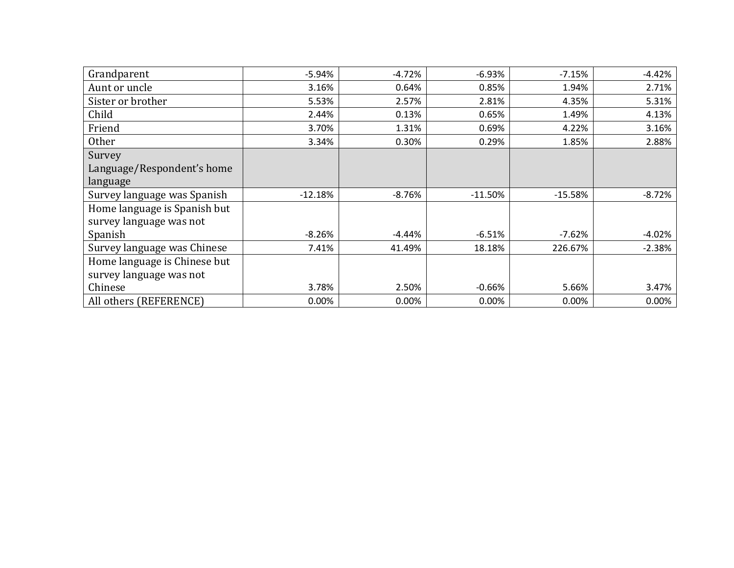| Grandparent                  | $-5.94%$  | $-4.72%$ | $-6.93%$  | $-7.15%$  | $-4.42%$ |
|------------------------------|-----------|----------|-----------|-----------|----------|
| Aunt or uncle                | 3.16%     | 0.64%    | 0.85%     | 1.94%     | 2.71%    |
| Sister or brother            | 5.53%     | 2.57%    | 2.81%     | 4.35%     | 5.31%    |
| Child                        | 2.44%     | 0.13%    | 0.65%     | 1.49%     | 4.13%    |
| Friend                       | 3.70%     | 1.31%    | 0.69%     | 4.22%     | 3.16%    |
| Other                        | 3.34%     | 0.30%    | 0.29%     | 1.85%     | 2.88%    |
| Survey                       |           |          |           |           |          |
| Language/Respondent's home   |           |          |           |           |          |
| language                     |           |          |           |           |          |
| Survey language was Spanish  | $-12.18%$ | $-8.76%$ | $-11.50%$ | $-15.58%$ | $-8.72%$ |
| Home language is Spanish but |           |          |           |           |          |
| survey language was not      |           |          |           |           |          |
| Spanish                      | $-8.26%$  | -4.44%   | $-6.51%$  | $-7.62%$  | $-4.02%$ |
| Survey language was Chinese  | 7.41%     | 41.49%   | 18.18%    | 226.67%   | $-2.38%$ |
| Home language is Chinese but |           |          |           |           |          |
| survey language was not      |           |          |           |           |          |
| Chinese                      | 3.78%     | 2.50%    | $-0.66%$  | 5.66%     | 3.47%    |
| All others (REFERENCE)       | 0.00%     | 0.00%    | 0.00%     | 0.00%     | $0.00\%$ |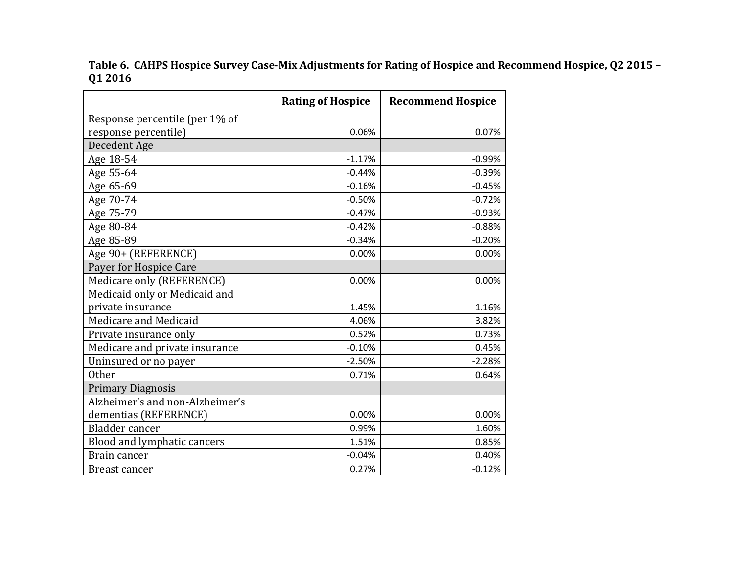**Table 6. CAHPS Hospice Survey Case-Mix Adjustments for Rating of Hospice and Recommend Hospice, Q2 2015 – Q1 2016**

|                                 | <b>Rating of Hospice</b> | <b>Recommend Hospice</b> |
|---------------------------------|--------------------------|--------------------------|
| Response percentile (per 1% of  |                          |                          |
| response percentile)            | 0.06%                    | 0.07%                    |
| Decedent Age                    |                          |                          |
| Age 18-54                       | $-1.17%$                 | $-0.99%$                 |
| Age 55-64                       | $-0.44%$                 | $-0.39%$                 |
| Age 65-69                       | $-0.16%$                 | $-0.45%$                 |
| Age 70-74                       | $-0.50%$                 | $-0.72%$                 |
| Age 75-79                       | $-0.47%$                 | $-0.93%$                 |
| Age 80-84                       | $-0.42%$                 | $-0.88%$                 |
| Age 85-89                       | $-0.34%$                 | $-0.20%$                 |
| Age 90+ (REFERENCE)             | 0.00%                    | 0.00%                    |
| Payer for Hospice Care          |                          |                          |
| Medicare only (REFERENCE)       | 0.00%                    | 0.00%                    |
| Medicaid only or Medicaid and   |                          |                          |
| private insurance               | 1.45%                    | 1.16%                    |
| Medicare and Medicaid           | 4.06%                    | 3.82%                    |
| Private insurance only          | 0.52%                    | 0.73%                    |
| Medicare and private insurance  | $-0.10%$                 | 0.45%                    |
| Uninsured or no payer           | $-2.50%$                 | $-2.28%$                 |
| <b>Other</b>                    | 0.71%                    | 0.64%                    |
| <b>Primary Diagnosis</b>        |                          |                          |
| Alzheimer's and non-Alzheimer's |                          |                          |
| dementias (REFERENCE)           | 0.00%                    | 0.00%                    |
| Bladder cancer                  | 0.99%                    | 1.60%                    |
| Blood and lymphatic cancers     | 1.51%                    | 0.85%                    |
| Brain cancer                    | $-0.04%$                 | 0.40%                    |
| <b>Breast cancer</b>            | 0.27%                    | $-0.12%$                 |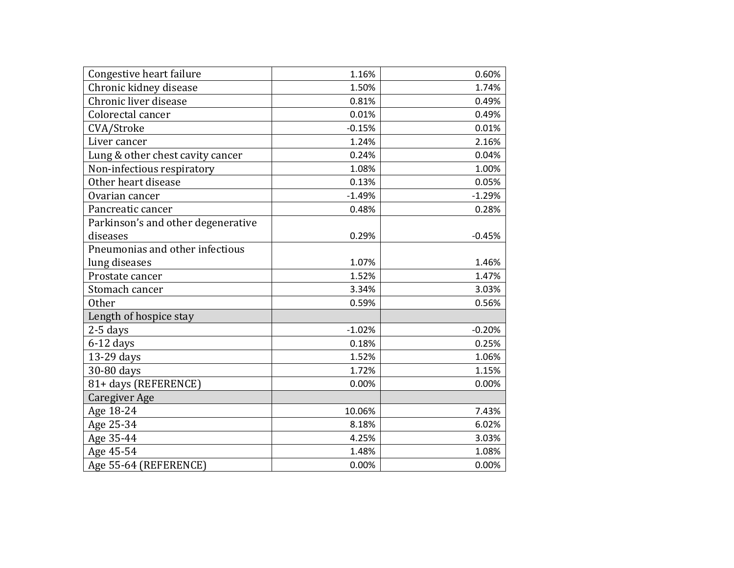| Congestive heart failure           | 1.16%    | 0.60%    |
|------------------------------------|----------|----------|
| Chronic kidney disease             | 1.50%    | 1.74%    |
| Chronic liver disease              | 0.81%    | 0.49%    |
| Colorectal cancer                  | 0.01%    | 0.49%    |
| CVA/Stroke                         | $-0.15%$ | 0.01%    |
| Liver cancer                       | 1.24%    | 2.16%    |
| Lung & other chest cavity cancer   | 0.24%    | 0.04%    |
| Non-infectious respiratory         | 1.08%    | 1.00%    |
| Other heart disease                | 0.13%    | 0.05%    |
| Ovarian cancer                     | $-1.49%$ | $-1.29%$ |
| Pancreatic cancer                  | 0.48%    | 0.28%    |
| Parkinson's and other degenerative |          |          |
| diseases                           | 0.29%    | $-0.45%$ |
| Pneumonias and other infectious    |          |          |
| lung diseases                      | 1.07%    | 1.46%    |
| Prostate cancer                    | 1.52%    | 1.47%    |
| Stomach cancer                     | 3.34%    | 3.03%    |
| <b>Other</b>                       | 0.59%    | 0.56%    |
| Length of hospice stay             |          |          |
| $2-5$ days                         | $-1.02%$ | $-0.20%$ |
| $6-12$ days                        | 0.18%    | 0.25%    |
| 13-29 days                         | 1.52%    | 1.06%    |
| 30-80 days                         | 1.72%    | 1.15%    |
| 81+ days (REFERENCE)               | 0.00%    | 0.00%    |
| Caregiver Age                      |          |          |
| Age 18-24                          | 10.06%   | 7.43%    |
| Age 25-34                          | 8.18%    | 6.02%    |
| Age 35-44                          | 4.25%    | 3.03%    |
| Age 45-54                          | 1.48%    | 1.08%    |
| Age 55-64 (REFERENCE)              | 0.00%    | 0.00%    |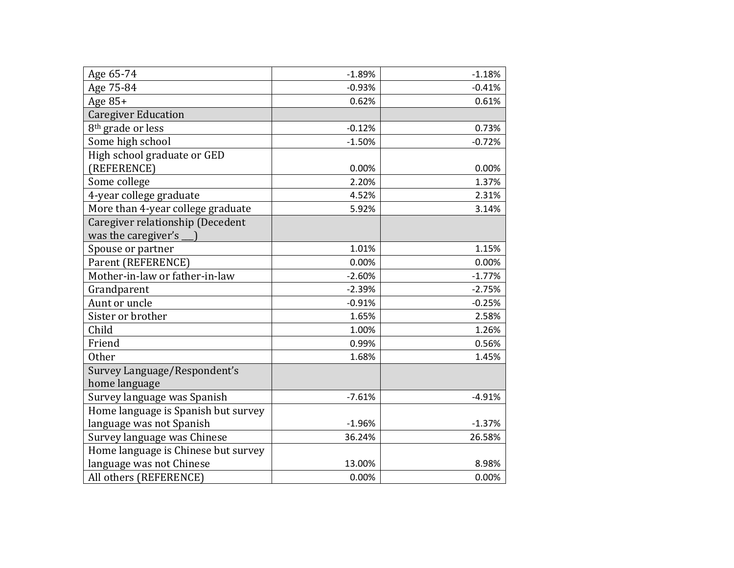| Age 65-74                           | $-1.89%$ | $-1.18%$ |
|-------------------------------------|----------|----------|
| Age 75-84                           | $-0.93%$ | $-0.41%$ |
| Age $85+$                           | 0.62%    | 0.61%    |
| <b>Caregiver Education</b>          |          |          |
| 8 <sup>th</sup> grade or less       | $-0.12%$ | 0.73%    |
| Some high school                    | $-1.50%$ | $-0.72%$ |
| High school graduate or GED         |          |          |
| (REFERENCE)                         | 0.00%    | 0.00%    |
| Some college                        | 2.20%    | 1.37%    |
| 4-year college graduate             | 4.52%    | 2.31%    |
| More than 4-year college graduate   | 5.92%    | 3.14%    |
| Caregiver relationship (Decedent    |          |          |
| was the caregiver's                 |          |          |
| Spouse or partner                   | 1.01%    | 1.15%    |
| Parent (REFERENCE)                  | 0.00%    | 0.00%    |
| Mother-in-law or father-in-law      | $-2.60%$ | $-1.77%$ |
| Grandparent                         | $-2.39%$ | $-2.75%$ |
| Aunt or uncle                       | $-0.91%$ | $-0.25%$ |
| Sister or brother                   | 1.65%    | 2.58%    |
| Child                               | 1.00%    | 1.26%    |
| Friend                              | 0.99%    | 0.56%    |
| <b>Other</b>                        | 1.68%    | 1.45%    |
| Survey Language/Respondent's        |          |          |
| home language                       |          |          |
| Survey language was Spanish         | $-7.61%$ | $-4.91%$ |
| Home language is Spanish but survey |          |          |
| language was not Spanish            | $-1.96%$ | $-1.37%$ |
| Survey language was Chinese         | 36.24%   | 26.58%   |
| Home language is Chinese but survey |          |          |
| language was not Chinese            | 13.00%   | 8.98%    |
| All others (REFERENCE)              | 0.00%    | 0.00%    |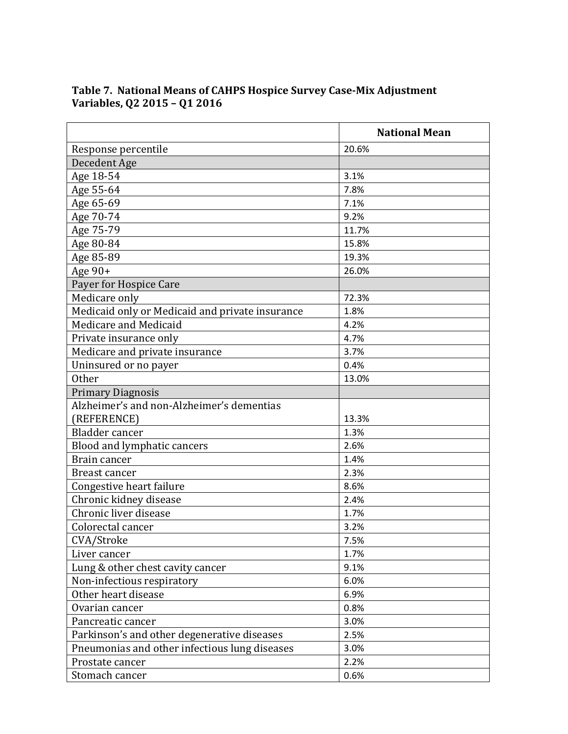|                                                 | <b>National Mean</b> |
|-------------------------------------------------|----------------------|
| Response percentile                             | 20.6%                |
| Decedent Age                                    |                      |
| Age 18-54                                       | 3.1%                 |
| Age 55-64                                       | 7.8%                 |
| Age 65-69                                       | 7.1%                 |
| Age 70-74                                       | 9.2%                 |
| Age 75-79                                       | 11.7%                |
| Age 80-84                                       | 15.8%                |
| Age 85-89                                       | 19.3%                |
| Age $90+$                                       | 26.0%                |
| Payer for Hospice Care                          |                      |
| Medicare only                                   | 72.3%                |
| Medicaid only or Medicaid and private insurance | 1.8%                 |
| Medicare and Medicaid                           | 4.2%                 |
| Private insurance only                          | 4.7%                 |
| Medicare and private insurance                  | 3.7%                 |
| Uninsured or no payer                           | 0.4%                 |
| <b>Other</b>                                    | 13.0%                |
| <b>Primary Diagnosis</b>                        |                      |
| Alzheimer's and non-Alzheimer's dementias       |                      |
| (REFERENCE)                                     | 13.3%                |
| <b>Bladder</b> cancer                           | 1.3%                 |
| <b>Blood and lymphatic cancers</b>              | 2.6%                 |
| Brain cancer                                    | 1.4%                 |
| Breast cancer                                   | 2.3%                 |
| Congestive heart failure                        | 8.6%                 |
| Chronic kidney disease                          | 2.4%                 |
| Chronic liver disease                           | 1.7%                 |
| Colorectal cancer                               | 3.2%                 |
| CVA/Stroke                                      | 7.5%                 |
| Liver cancer                                    | 1.7%                 |
| Lung & other chest cavity cancer                | 9.1%                 |
| Non-infectious respiratory                      | 6.0%                 |
| Other heart disease                             | 6.9%                 |
| Ovarian cancer                                  | 0.8%                 |
| Pancreatic cancer                               | 3.0%                 |
| Parkinson's and other degenerative diseases     | 2.5%                 |
| Pneumonias and other infectious lung diseases   | 3.0%                 |
| Prostate cancer                                 | 2.2%                 |
| Stomach cancer                                  | 0.6%                 |

### **Table 7. National Means of CAHPS Hospice Survey Case-Mix Adjustment Variables, Q2 2015 – Q1 2016**